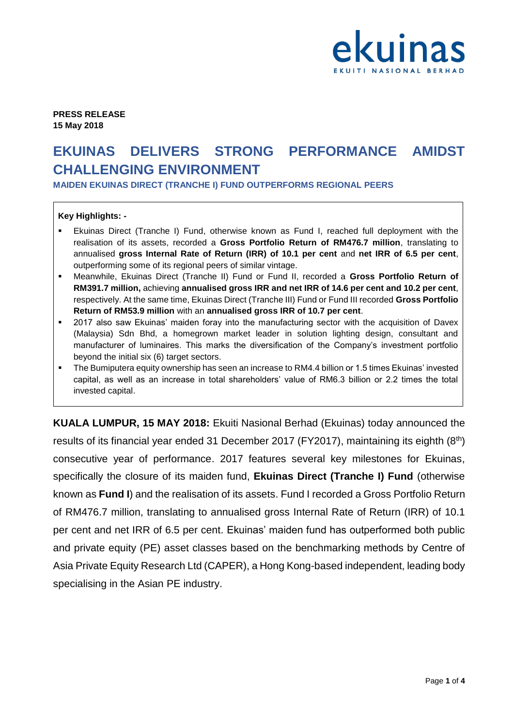

**PRESS RELEASE 15 May 2018**

## **EKUINAS DELIVERS STRONG PERFORMANCE AMIDST CHALLENGING ENVIRONMENT**

**MAIDEN EKUINAS DIRECT (TRANCHE I) FUND OUTPERFORMS REGIONAL PEERS**

## **Key Highlights: -**

- Ekuinas Direct (Tranche I) Fund, otherwise known as Fund I, reached full deployment with the realisation of its assets, recorded a **Gross Portfolio Return of RM476.7 million**, translating to annualised **gross Internal Rate of Return (IRR) of 10.1 per cent** and **net IRR of 6.5 per cent**, outperforming some of its regional peers of similar vintage.
- Meanwhile, Ekuinas Direct (Tranche II) Fund or Fund II, recorded a **Gross Portfolio Return of RM391.7 million,** achieving **annualised gross IRR and net IRR of 14.6 per cent and 10.2 per cent**, respectively. At the same time, Ekuinas Direct (Tranche III) Fund or Fund III recorded **Gross Portfolio Return of RM53.9 million** with an **annualised gross IRR of 10.7 per cent**.
- 2017 also saw Ekuinas' maiden foray into the manufacturing sector with the acquisition of Davex (Malaysia) Sdn Bhd, a homegrown market leader in solution lighting design, consultant and manufacturer of luminaires. This marks the diversification of the Company's investment portfolio beyond the initial six (6) target sectors.
- The Bumiputera equity ownership has seen an increase to RM4.4 billion or 1.5 times Ekuinas' invested capital, as well as an increase in total shareholders' value of RM6.3 billion or 2.2 times the total invested capital.

**KUALA LUMPUR, 15 MAY 2018:** Ekuiti Nasional Berhad (Ekuinas) today announced the results of its financial year ended 31 December 2017 (FY2017), maintaining its eighth (8<sup>th</sup>) consecutive year of performance. 2017 features several key milestones for Ekuinas, specifically the closure of its maiden fund, **Ekuinas Direct (Tranche I) Fund** (otherwise known as **Fund I**) and the realisation of its assets. Fund I recorded a Gross Portfolio Return of RM476.7 million, translating to annualised gross Internal Rate of Return (IRR) of 10.1 per cent and net IRR of 6.5 per cent. Ekuinas' maiden fund has outperformed both public and private equity (PE) asset classes based on the benchmarking methods by Centre of Asia Private Equity Research Ltd (CAPER), a Hong Kong-based independent, leading body specialising in the Asian PE industry.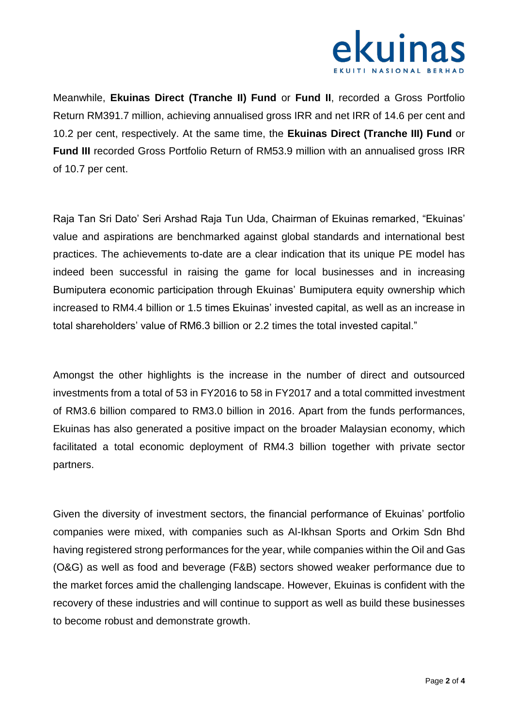

Meanwhile, **Ekuinas Direct (Tranche II) Fund** or **Fund II**, recorded a Gross Portfolio Return RM391.7 million, achieving annualised gross IRR and net IRR of 14.6 per cent and 10.2 per cent, respectively. At the same time, the **Ekuinas Direct (Tranche III) Fund** or **Fund III** recorded Gross Portfolio Return of RM53.9 million with an annualised gross IRR of 10.7 per cent.

Raja Tan Sri Dato' Seri Arshad Raja Tun Uda, Chairman of Ekuinas remarked, "Ekuinas' value and aspirations are benchmarked against global standards and international best practices. The achievements to-date are a clear indication that its unique PE model has indeed been successful in raising the game for local businesses and in increasing Bumiputera economic participation through Ekuinas' Bumiputera equity ownership which increased to RM4.4 billion or 1.5 times Ekuinas' invested capital, as well as an increase in total shareholders' value of RM6.3 billion or 2.2 times the total invested capital."

Amongst the other highlights is the increase in the number of direct and outsourced investments from a total of 53 in FY2016 to 58 in FY2017 and a total committed investment of RM3.6 billion compared to RM3.0 billion in 2016. Apart from the funds performances, Ekuinas has also generated a positive impact on the broader Malaysian economy, which facilitated a total economic deployment of RM4.3 billion together with private sector partners.

Given the diversity of investment sectors, the financial performance of Ekuinas' portfolio companies were mixed, with companies such as Al-Ikhsan Sports and Orkim Sdn Bhd having registered strong performances for the year, while companies within the Oil and Gas (O&G) as well as food and beverage (F&B) sectors showed weaker performance due to the market forces amid the challenging landscape. However, Ekuinas is confident with the recovery of these industries and will continue to support as well as build these businesses to become robust and demonstrate growth.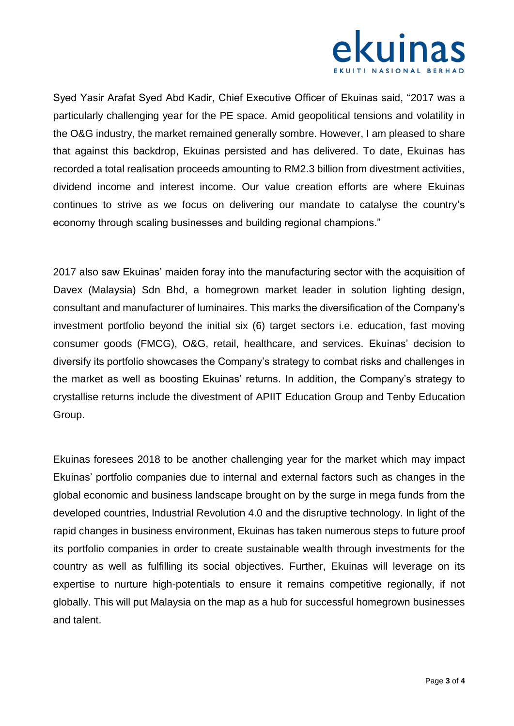

Syed Yasir Arafat Syed Abd Kadir, Chief Executive Officer of Ekuinas said, "2017 was a particularly challenging year for the PE space. Amid geopolitical tensions and volatility in the O&G industry, the market remained generally sombre. However, I am pleased to share that against this backdrop, Ekuinas persisted and has delivered. To date, Ekuinas has recorded a total realisation proceeds amounting to RM2.3 billion from divestment activities, dividend income and interest income. Our value creation efforts are where Ekuinas continues to strive as we focus on delivering our mandate to catalyse the country's economy through scaling businesses and building regional champions."

2017 also saw Ekuinas' maiden foray into the manufacturing sector with the acquisition of Davex (Malaysia) Sdn Bhd, a homegrown market leader in solution lighting design, consultant and manufacturer of luminaires. This marks the diversification of the Company's investment portfolio beyond the initial six (6) target sectors i.e. education, fast moving consumer goods (FMCG), O&G, retail, healthcare, and services. Ekuinas' decision to diversify its portfolio showcases the Company's strategy to combat risks and challenges in the market as well as boosting Ekuinas' returns. In addition, the Company's strategy to crystallise returns include the divestment of APIIT Education Group and Tenby Education Group.

Ekuinas foresees 2018 to be another challenging year for the market which may impact Ekuinas' portfolio companies due to internal and external factors such as changes in the global economic and business landscape brought on by the surge in mega funds from the developed countries, Industrial Revolution 4.0 and the disruptive technology. In light of the rapid changes in business environment, Ekuinas has taken numerous steps to future proof its portfolio companies in order to create sustainable wealth through investments for the country as well as fulfilling its social objectives. Further, Ekuinas will leverage on its expertise to nurture high-potentials to ensure it remains competitive regionally, if not globally. This will put Malaysia on the map as a hub for successful homegrown businesses and talent.